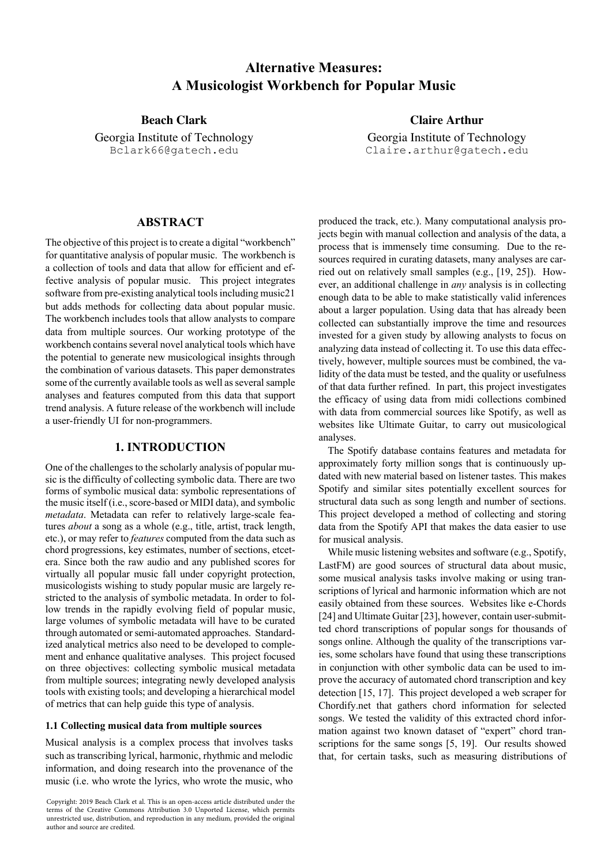# **Alternative Measures: A Musicologist Workbench for Popular Music**

Georgia Institute of Technology Bclark66@gatech.edu

**Beach Clark Claire Arthur** Georgia Institute of Technology Claire.arthur@gatech.edu

# **ABSTRACT**

The objective of this project is to create a digital "workbench" for quantitative analysis of popular music. The workbench is a collection of tools and data that allow for efficient and effective analysis of popular music. This project integrates software from pre-existing analytical tools including music21 but adds methods for collecting data about popular music. The workbench includes tools that allow analysts to compare data from multiple sources. Our working prototype of the workbench contains several novel analytical tools which have the potential to generate new musicological insights through the combination of various datasets. This paper demonstrates some of the currently available tools as well as several sample analyses and features computed from this data that support trend analysis. A future release of the workbench will include a user-friendly UI for non-programmers.

## **1. INTRODUCTION**

One of the challenges to the scholarly analysis of popular music is the difficulty of collecting symbolic data. There are two forms of symbolic musical data: symbolic representations of the music itself (i.e., score-based or MIDI data), and symbolic *metadata*. Metadata can refer to relatively large-scale features *about* a song as a whole (e.g., title, artist, track length, etc.), or may refer to *features* computed from the data such as chord progressions, key estimates, number of sections, etcetera. Since both the raw audio and any published scores for virtually all popular music fall under copyright protection, musicologists wishing to study popular music are largely restricted to the analysis of symbolic metadata. In order to follow trends in the rapidly evolving field of popular music, large volumes of symbolic metadata will have to be curated through automated or semi-automated approaches. Standardized analytical metrics also need to be developed to complement and enhance qualitative analyses. This project focused on three objectives: collecting symbolic musical metadata from multiple sources; integrating newly developed analysis tools with existing tools; and developing a hierarchical model of metrics that can help guide this type of analysis.

#### **1.1 Collecting musical data from multiple sources**

Musical analysis is a complex process that involves tasks such as transcribing lyrical, harmonic, rhythmic and melodic information, and doing research into the provenance of the music (i.e. who wrote the lyrics, who wrote the music, who produced the track, etc.). Many computational analysis projects begin with manual collection and analysis of the data, a process that is immensely time consuming. Due to the resources required in curating datasets, many analyses are carried out on relatively small samples (e.g., [19, 25]). However, an additional challenge in *any* analysis is in collecting enough data to be able to make statistically valid inferences about a larger population. Using data that has already been collected can substantially improve the time and resources invested for a given study by allowing analysts to focus on analyzing data instead of collecting it. To use this data effectively, however, multiple sources must be combined, the validity of the data must be tested, and the quality or usefulness of that data further refined. In part, this project investigates the efficacy of using data from midi collections combined with data from commercial sources like Spotify, as well as websites like Ultimate Guitar, to carry out musicological analyses.

The Spotify database contains features and metadata for approximately forty million songs that is continuously updated with new material based on listener tastes. This makes Spotify and similar sites potentially excellent sources for structural data such as song length and number of sections. This project developed a method of collecting and storing data from the Spotify API that makes the data easier to use for musical analysis.

While music listening websites and software (e.g., Spotify, LastFM) are good sources of structural data about music, some musical analysis tasks involve making or using transcriptions of lyrical and harmonic information which are not easily obtained from these sources. Websites like e-Chords [24] and Ultimate Guitar [23], however, contain user-submitted chord transcriptions of popular songs for thousands of songs online. Although the quality of the transcriptions varies, some scholars have found that using these transcriptions in conjunction with other symbolic data can be used to improve the accuracy of automated chord transcription and key detection [15, 17]. This project developed a web scraper for Chordify.net that gathers chord information for selected songs. We tested the validity of this extracted chord information against two known dataset of "expert" chord transcriptions for the same songs [5, 19]. Our results showed that, for certain tasks, such as measuring distributions of

Copyright: 2019 Beach Clark et al. This is an open-access article distributed under the terms of the Creative Commons Attribution 3.0 Unported License, which permits unrestricted use, distribution, and reproduction in any medium, provided the original author and source are credited.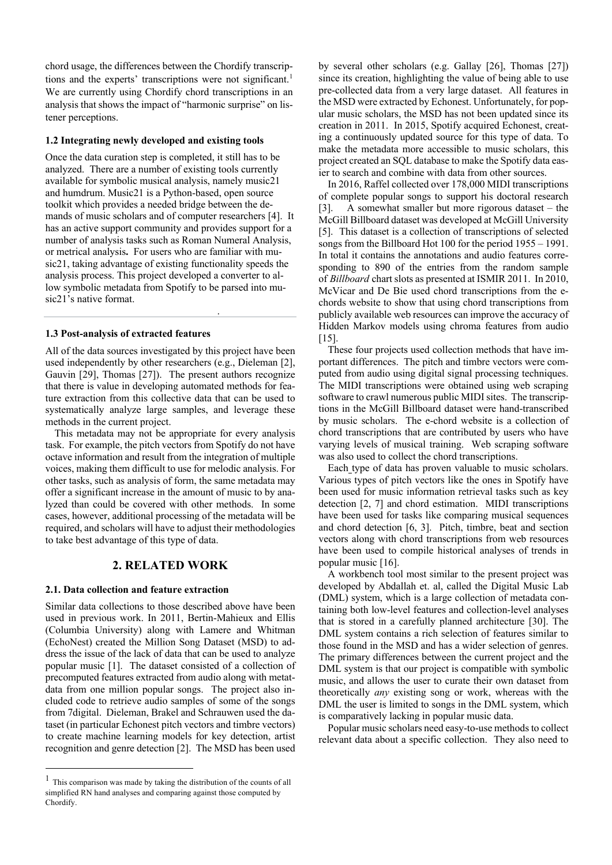chord usage, the differences between the Chordify transcriptions and the experts' transcriptions were not significant. 1 We are currently using Chordify chord transcriptions in an analysis that shows the impact of "harmonic surprise" on listener perceptions.

#### **1.2 Integrating newly developed and existing tools**

Once the data curation step is completed, it still has to be analyzed. There are a number of existing tools currently available for symbolic musical analysis, namely music21 and humdrum. Music21 is a Python-based, open source toolkit which provides a needed bridge between the demands of music scholars and of computer researchers [4]. It has an active support community and provides support for a number of analysis tasks such as Roman Numeral Analysis, or metrical analysis**.** For users who are familiar with music21, taking advantage of existing functionality speeds the analysis process. This project developed a converter to allow symbolic metadata from Spotify to be parsed into music21's native format.

#### **1.3 Post-analysis of extracted features**

visualized, as will be demonstrated below.

All of the data sources investigated by this project have been used independently by other researchers (e.g., Dieleman [2], Gauvin [29], Thomas [27]). The present authors recognize that there is value in developing automated methods for feature extraction from this collective data that can be used to systematically analyze large samples, and leverage these methods in the current project.

This metadata may not be appropriate for every analysis task. For example, the pitch vectors from Spotify do not have octave information and result from the integration of multiple voices, making them difficult to use for melodic analysis. For other tasks, such as analysis of form, the same metadata may offer a significant increase in the amount of music to by analyzed than could be covered with other methods. In some cases, however, additional processing of the metadata will be required, and scholars will have to adjust their methodologies to take best advantage of this type of data.

## **2. RELATED WORK**

## **2.1. Data collection and feature extraction**

Similar data collections to those described above have been used in previous work. In 2011, Bertin-Mahieux and Ellis (Columbia University) along with Lamere and Whitman (EchoNest) created the Million Song Dataset (MSD) to address the issue of the lack of data that can be used to analyze popular music [1]. The dataset consisted of a collection of precomputed features extracted from audio along with metatdata from one million popular songs. The project also included code to retrieve audio samples of some of the songs from 7digital. Dieleman, Brakel and Schrauwen used the dataset (in particular Echonest pitch vectors and timbre vectors) to create machine learning models for key detection, artist recognition and genre detection [2]. The MSD has been used

by several other scholars (e.g. Gallay [26], Thomas [27]) since its creation, highlighting the value of being able to use pre-collected data from a very large dataset. All features in the MSD were extracted by Echonest. Unfortunately, for popular music scholars, the MSD has not been updated since its creation in 2011. In 2015, Spotify acquired Echonest, creating a continuously updated source for this type of data. To make the metadata more accessible to music scholars, this project created an SQL database to make the Spotify data easier to search and combine with data from other sources.

In 2016, Raffel collected over 178,000 MIDI transcriptions of complete popular songs to support his doctoral research [3]. A somewhat smaller but more rigorous dataset – the McGill Billboard dataset was developed at McGill University [5]. This dataset is a collection of transcriptions of selected songs from the Billboard Hot 100 for the period 1955 – 1991. In total it contains the annotations and audio features corresponding to 890 of the entries from the random sample of *Billboard* chart slots as presented at ISMIR 2011. In 2010, McVicar and De Bie used chord transcriptions from the echords website to show that using chord transcriptions from publicly available web resources can improve the accuracy of Hidden Markov models using chroma features from audio [15].

These four projects used collection methods that have important differences. The pitch and timbre vectors were computed from audio using digital signal processing techniques. The MIDI transcriptions were obtained using web scraping software to crawl numerous public MIDI sites. The transcriptions in the McGill Billboard dataset were hand-transcribed by music scholars. The e-chord website is a collection of chord transcriptions that are contributed by users who have varying levels of musical training. Web scraping software was also used to collect the chord transcriptions.

Each type of data has proven valuable to music scholars. Various types of pitch vectors like the ones in Spotify have been used for music information retrieval tasks such as key detection [2, 7] and chord estimation. MIDI transcriptions have been used for tasks like comparing musical sequences and chord detection [6, 3]. Pitch, timbre, beat and section vectors along with chord transcriptions from web resources have been used to compile historical analyses of trends in popular music [16].

A workbench tool most similar to the present project was developed by Abdallah et. al, called the Digital Music Lab (DML) system, which is a large collection of metadata containing both low-level features and collection-level analyses that is stored in a carefully planned architecture [30]. The DML system contains a rich selection of features similar to those found in the MSD and has a wider selection of genres. The primary differences between the current project and the DML system is that our project is compatible with symbolic music, and allows the user to curate their own dataset from theoretically *any* existing song or work, whereas with the DML the user is limited to songs in the DML system, which is comparatively lacking in popular music data.

Popular music scholars need easy-to-use methods to collect relevant data about a specific collection. They also need to

 <sup>1</sup> This comparison was made by taking the distribution of the counts of all simplified RN hand analyses and comparing against those computed by Chordify.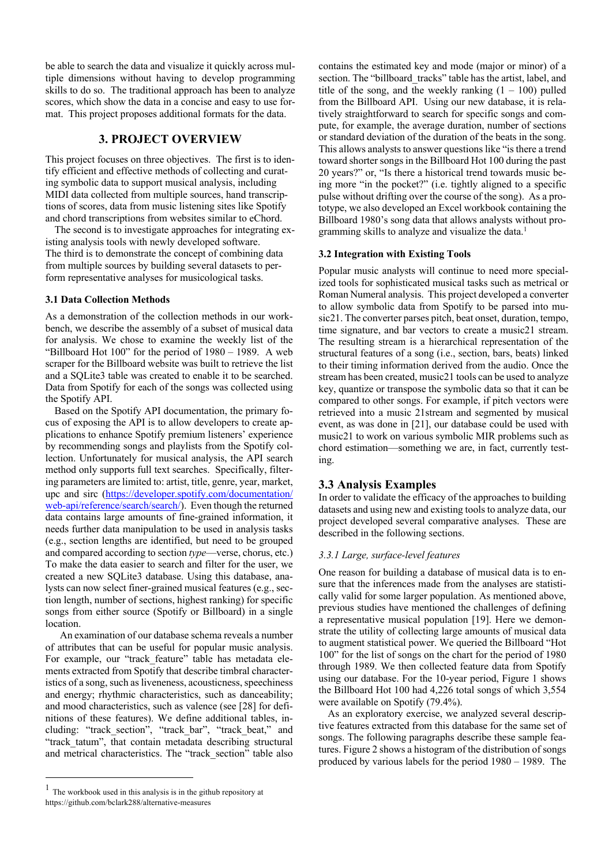be able to search the data and visualize it quickly across multiple dimensions without having to develop programming skills to do so. The traditional approach has been to analyze scores, which show the data in a concise and easy to use format. This project proposes additional formats for the data.

# **3. PROJECT OVERVIEW**

This project focuses on three objectives. The first is to identify efficient and effective methods of collecting and curating symbolic data to support musical analysis, including MIDI data collected from multiple sources, hand transcriptions of scores, data from music listening sites like Spotify and chord transcriptions from websites similar to eChord.

The second is to investigate approaches for integrating existing analysis tools with newly developed software. The third is to demonstrate the concept of combining data from multiple sources by building several datasets to perform representative analyses for musicological tasks.

#### **3.1 Data Collection Methods**

As a demonstration of the collection methods in our workbench, we describe the assembly of a subset of musical data for analysis. We chose to examine the weekly list of the "Billboard Hot 100" for the period of 1980 – 1989. A web scraper for the Billboard website was built to retrieve the list and a SQLite3 table was created to enable it to be searched. Data from Spotify for each of the songs was collected using the Spotify API.

Based on the Spotify API documentation, the primary focus of exposing the API is to allow developers to create applications to enhance Spotify premium listeners' experience by recommending songs and playlists from the Spotify collection. Unfortunately for musical analysis, the API search method only supports full text searches. Specifically, filtering parameters are limited to: artist, title, genre, year, market, upc and sirc (https://developer.spotify.com/documentation/ web-api/reference/search/search/). Even though the returned data contains large amounts of fine-grained information, it needs further data manipulation to be used in analysis tasks (e.g., section lengths are identified, but need to be grouped and compared according to section *type*—verse, chorus, etc.) To make the data easier to search and filter for the user, we created a new SQLite3 database. Using this database, analysts can now select finer-grained musical features (e.g., section length, number of sections, highest ranking) for specific songs from either source (Spotify or Billboard) in a single location.

An examination of our database schema reveals a number of attributes that can be useful for popular music analysis. For example, our "track feature" table has metadata elements extracted from Spotify that describe timbral characteristics of a song, such as liveneness, acousticness, speechiness and energy; rhythmic characteristics, such as danceability; and mood characteristics, such as valence (see [28] for definitions of these features). We define additional tables, including: "track\_section", "track\_bar", "track\_beat," and "track tatum", that contain metadata describing structural and metrical characteristics. The "track section" table also

contains the estimated key and mode (major or minor) of a section. The "billboard tracks" table has the artist, label, and title of the song, and the weekly ranking  $(1 - 100)$  pulled from the Billboard API. Using our new database, it is relatively straightforward to search for specific songs and compute, for example, the average duration, number of sections or standard deviation of the duration of the beats in the song. This allows analysts to answer questions like "is there a trend toward shorter songs in the Billboard Hot 100 during the past 20 years?" or, "Is there a historical trend towards music being more "in the pocket?" (i.e. tightly aligned to a specific pulse without drifting over the course of the song). As a prototype, we also developed an Excel workbook containing the Billboard 1980's song data that allows analysts without programming skills to analyze and visualize the data.<sup>1</sup>

## **3.2 Integration with Existing Tools**

Popular music analysts will continue to need more specialized tools for sophisticated musical tasks such as metrical or Roman Numeral analysis. This project developed a converter to allow symbolic data from Spotify to be parsed into music21. The converter parses pitch, beat onset, duration, tempo, time signature, and bar vectors to create a music21 stream. The resulting stream is a hierarchical representation of the structural features of a song (i.e., section, bars, beats) linked to their timing information derived from the audio. Once the stream has been created, music21 tools can be used to analyze key, quantize or transpose the symbolic data so that it can be compared to other songs. For example, if pitch vectors were retrieved into a music 21stream and segmented by musical event, as was done in [21], our database could be used with music21 to work on various symbolic MIR problems such as chord estimation—something we are, in fact, currently testing.

## **3.3 Analysis Examples**

In order to validate the efficacy of the approaches to building datasets and using new and existing tools to analyze data, our project developed several comparative analyses. These are described in the following sections.

#### *3.3.1 Large, surface-level features*

One reason for building a database of musical data is to ensure that the inferences made from the analyses are statistically valid for some larger population. As mentioned above, previous studies have mentioned the challenges of defining a representative musical population [19]. Here we demonstrate the utility of collecting large amounts of musical data to augment statistical power. We queried the Billboard "Hot 100" for the list of songs on the chart for the period of 1980 through 1989. We then collected feature data from Spotify using our database. For the 10-year period, Figure 1 shows the Billboard Hot 100 had 4,226 total songs of which 3,554 were available on Spotify (79.4%).

As an exploratory exercise, we analyzed several descriptive features extracted from this database for the same set of songs. The following paragraphs describe these sample features. Figure 2 shows a histogram of the distribution of songs produced by various labels for the period 1980 – 1989. The

 $1$  The workbook used in this analysis is in the github repository at https://github.com/bclark288/alternative-measures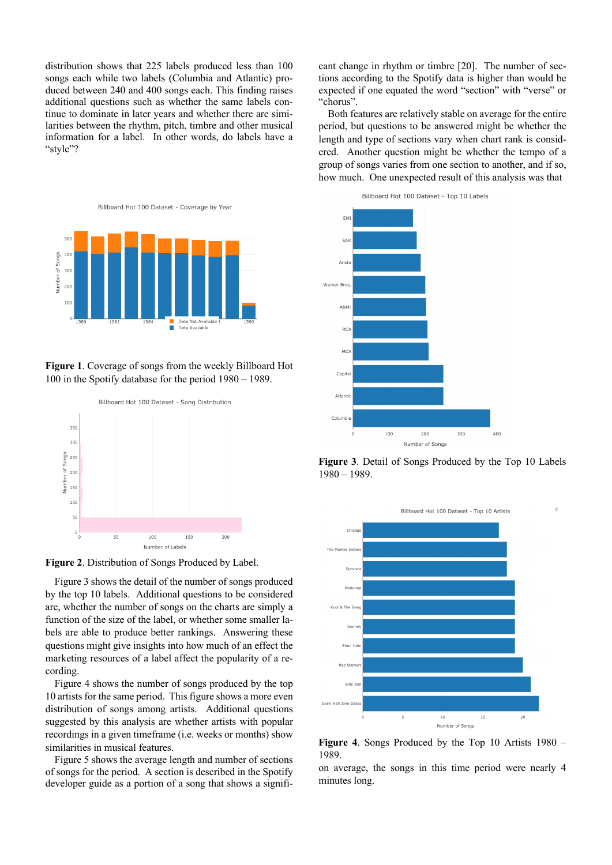distribution shows that 225 labels produced less than 100 songs each while two labels (Columbia and Atlantic) produced between 240 and 400 songs each. This finding raises additional questions such as whether the same labels continue to dominate in later years and whether there are similarities between the rhythm, pitch, timbre and other musical information for a label. In other words, do labels have a "style"?



**Figure 1**. Coverage of songs from the weekly Billboard Hot 100 in the Spotify database for the period 1980 – 1989.



**Figure 2**. Distribution of Songs Produced by Label.

Figure 3 shows the detail of the number of songs produced by the top 10 labels. Additional questions to be considered are, whether the number of songs on the charts are simply a function of the size of the label, or whether some smaller labels are able to produce better rankings. Answering these questions might give insights into how much of an effect the marketing resources of a label affect the popularity of a recording.

Figure 4 shows the number of songs produced by the top 10 artists for the same period. This figure shows a more even distribution of songs among artists. Additional questions suggested by this analysis are whether artists with popular recordings in a given timeframe (i.e. weeks or months) show similarities in musical features.

Figure 5 shows the average length and number of sections of songs for the period. A section is described in the Spotify developer guide as a portion of a song that shows a significant change in rhythm or timbre [20]. The number of sections according to the Spotify data is higher than would be expected if one equated the word "section" with "verse" or "chorus".

Both features are relatively stable on average for the entire period, but questions to be answered might be whether the length and type of sections vary when chart rank is considered. Another question might be whether the tempo of a group of songs varies from one section to another, and if so, how much. One unexpected result of this analysis was that



**Figure 3**. Detail of Songs Produced by the Top 10 Labels 1980 – 1989.



**Figure 4**. Songs Produced by the Top 10 Artists 1980 – 1989.

on average, the songs in this time period were nearly 4 minutes long.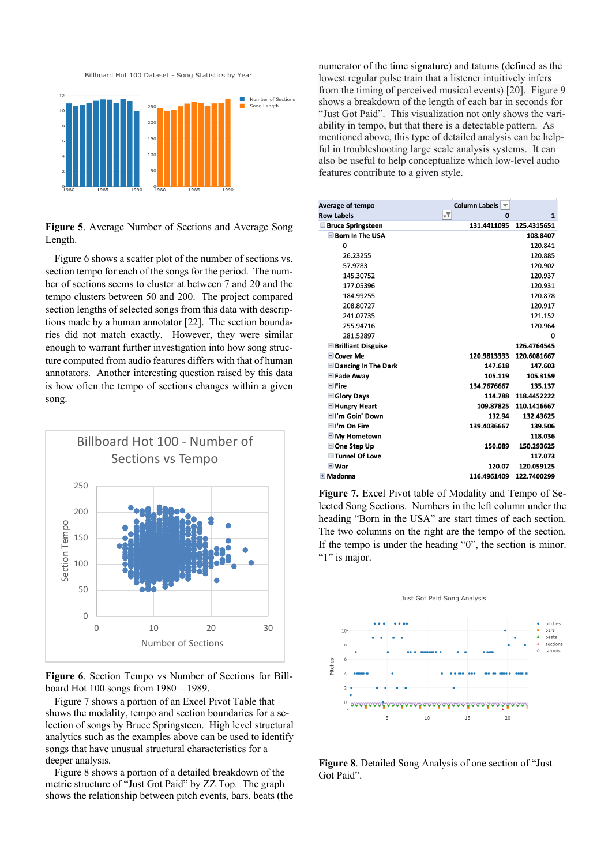Billboard Hot 100 Dataset - Song Statistics by Year



**Figure 5**. Average Number of Sections and Average Song Length.

Figure 6 shows a scatter plot of the number of sections vs. section tempo for each of the songs for the period. The number of sections seems to cluster at between 7 and 20 and the tempo clusters between 50 and 200. The project compared section lengths of selected songs from this data with descriptions made by a human annotator [22]. The section boundaries did not match exactly. However, they were similar enough to warrant further investigation into how song structure computed from audio features differs with that of human annotators. Another interesting question raised by this data is how often the tempo of sections changes within a given song.



**Figure 6**. Section Tempo vs Number of Sections for Billboard Hot 100 songs from 1980 – 1989.

Figure 7 shows a portion of an Excel Pivot Table that shows the modality, tempo and section boundaries for a selection of songs by Bruce Springsteen. High level structural analytics such as the examples above can be used to identify songs that have unusual structural characteristics for a deeper analysis.

Figure 8 shows a portion of a detailed breakdown of the metric structure of "Just Got Paid" by ZZ Top. The graph shows the relationship between pitch events, bars, beats (the numerator of the time signature) and tatums (defined as the lowest regular pulse train that a listener intuitively infers from the timing of perceived musical events) [20]. Figure 9 shows a breakdown of the length of each bar in seconds for "Just Got Paid". This visualization not only shows the variability in tempo, but that there is a detectable pattern. As mentioned above, this type of detailed analysis can be helpful in troubleshooting large scale analysis systems. It can also be useful to help conceptualize which low-level audio features contribute to a given style.

| Average of tempo             | Column Labels<br>▼                     |             |
|------------------------------|----------------------------------------|-------------|
| <b>Row Labels</b>            | $\overline{\mathbf{r}}$<br>$\mathbf 0$ | 1           |
| <b>Bruce Springsteen</b>     | 131.4411095                            | 125.4315651 |
| Born In The USA              |                                        | 108.8407    |
| $\Omega$                     |                                        | 120.841     |
| 26.23255                     |                                        | 120.885     |
| 57.9783                      |                                        | 120.902     |
| 145.30752                    |                                        | 120.937     |
| 177.05396                    |                                        | 120.931     |
| 184.99255                    |                                        | 120.878     |
| 208.80727                    |                                        | 120.917     |
| 241.07735                    |                                        | 121.152     |
| 255.94716                    |                                        | 120.964     |
| 281.52897                    |                                        | $\Omega$    |
| <b>E</b> Brilliant Disguise  |                                        | 126.4764545 |
| $\pm$ Cover Me               | 120.9813333                            | 120.6081667 |
| <b>E</b> Dancing In The Dark | 147.618                                | 147.603     |
| E Fade Away                  | 105.119                                | 105.3159    |
| $\boxplus$ Fire              | 134.7676667                            | 135.137     |
| <b>E</b> Glory Days          | 114.788                                | 118.4452222 |
| <b>E</b> Hungry Heart        | 109.87825                              | 110.1416667 |
| <b>Ell'm Goin' Down</b>      | 132.94                                 | 132.43625   |
| <b>HI'm On Fire</b>          | 139.4036667                            | 139.506     |
| <b>E</b> My Hometown         |                                        | 118.036     |
| Done Step Up                 | 150.089                                | 150.293625  |
| <b>El Tunnel Of Love</b>     |                                        | 117.073     |
| ⊞ War                        | 120.07                                 | 120.059125  |
| $\pm$ Madonna                | 116.4961409                            | 122.7400299 |

**Figure 7.** Excel Pivot table of Modality and Tempo of Selected Song Sections. Numbers in the left column under the heading "Born in the USA" are start times of each section. The two columns on the right are the tempo of the section. If the tempo is under the heading "0", the section is minor. ""1" is major.



**Figure 8**. Detailed Song Analysis of one section of "Just Got Paid".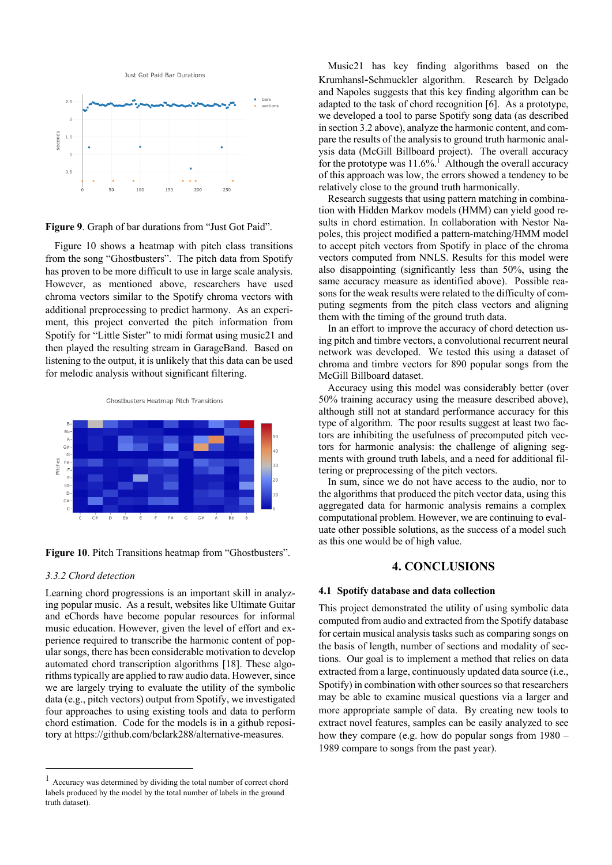Just Got Paid Bar Durations



**Figure 9**. Graph of bar durations from "Just Got Paid".

Figure 10 shows a heatmap with pitch class transitions from the song "Ghostbusters". The pitch data from Spotify has proven to be more difficult to use in large scale analysis. However, as mentioned above, researchers have used chroma vectors similar to the Spotify chroma vectors with additional preprocessing to predict harmony. As an experiment, this project converted the pitch information from Spotify for "Little Sister" to midi format using music21 and then played the resulting stream in GarageBand. Based on listening to the output, it is unlikely that this data can be used for melodic analysis without significant filtering.

Ghostbusters Heatmap Pitch Transitions



**Figure 10**. Pitch Transitions heatmap from "Ghostbusters".

#### *3.3.2 Chord detection*

Learning chord progressions is an important skill in analyzing popular music. As a result, websites like Ultimate Guitar and eChords have become popular resources for informal music education. However, given the level of effort and experience required to transcribe the harmonic content of popular songs, there has been considerable motivation to develop automated chord transcription algorithms [18]. These algorithms typically are applied to raw audio data. However, since we are largely trying to evaluate the utility of the symbolic data (e.g., pitch vectors) output from Spotify, we investigated four approaches to using existing tools and data to perform chord estimation. Code for the models is in a github repository at https://github.com/bclark288/alternative-measures.

Music21 has key finding algorithms based on the Krumhansl-Schmuckler algorithm. Research by Delgado and Napoles suggests that this key finding algorithm can be adapted to the task of chord recognition [6]. As a prototype, we developed a tool to parse Spotify song data (as described in section 3.2 above), analyze the harmonic content, and compare the results of the analysis to ground truth harmonic analysis data (McGill Billboard project). The overall accuracy for the prototype was  $11.6\%$ <sup>1</sup> Although the overall accuracy of this approach was low, the errors showed a tendency to be relatively close to the ground truth harmonically.

Research suggests that using pattern matching in combination with Hidden Markov models (HMM) can yield good results in chord estimation. In collaboration with Nestor Napoles, this project modified a pattern-matching/HMM model to accept pitch vectors from Spotify in place of the chroma vectors computed from NNLS. Results for this model were also disappointing (significantly less than 50%, using the same accuracy measure as identified above). Possible reasons for the weak results were related to the difficulty of computing segments from the pitch class vectors and aligning them with the timing of the ground truth data.

In an effort to improve the accuracy of chord detection using pitch and timbre vectors, a convolutional recurrent neural network was developed. We tested this using a dataset of chroma and timbre vectors for 890 popular songs from the McGill Billboard dataset.

Accuracy using this model was considerably better (over 50% training accuracy using the measure described above), although still not at standard performance accuracy for this type of algorithm. The poor results suggest at least two factors are inhibiting the usefulness of precomputed pitch vectors for harmonic analysis: the challenge of aligning segments with ground truth labels, and a need for additional filtering or preprocessing of the pitch vectors.

In sum, since we do not have access to the audio, nor to the algorithms that produced the pitch vector data, using this aggregated data for harmonic analysis remains a complex computational problem. However, we are continuing to evaluate other possible solutions, as the success of a model such as this one would be of high value.

# **4. CONCLUSIONS**

#### **4.1 Spotify database and data collection**

This project demonstrated the utility of using symbolic data computed from audio and extracted from the Spotify database for certain musical analysis tasks such as comparing songs on the basis of length, number of sections and modality of sections. Our goal is to implement a method that relies on data extracted from a large, continuously updated data source (i.e., Spotify) in combination with other sources so that researchers may be able to examine musical questions via a larger and more appropriate sample of data. By creating new tools to extract novel features, samples can be easily analyzed to see how they compare (e.g. how do popular songs from 1980 – 1989 compare to songs from the past year).

 <sup>1</sup> Accuracy was determined by dividing the total number of correct chord labels produced by the model by the total number of labels in the ground truth dataset).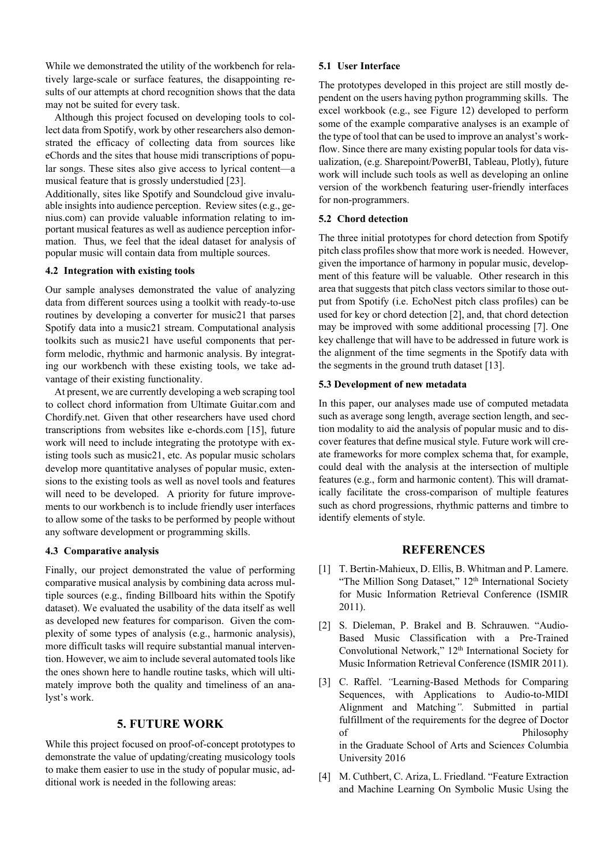While we demonstrated the utility of the workbench for relatively large-scale or surface features, the disappointing results of our attempts at chord recognition shows that the data may not be suited for every task.

Although this project focused on developing tools to collect data from Spotify, work by other researchers also demonstrated the efficacy of collecting data from sources like eChords and the sites that house midi transcriptions of popular songs. These sites also give access to lyrical content—a musical feature that is grossly understudied [23].

Additionally, sites like Spotify and Soundcloud give invaluable insights into audience perception. Review sites (e.g., genius.com) can provide valuable information relating to important musical features as well as audience perception information. Thus, we feel that the ideal dataset for analysis of popular music will contain data from multiple sources.

## **4.2 Integration with existing tools**

Our sample analyses demonstrated the value of analyzing data from different sources using a toolkit with ready-to-use routines by developing a converter for music21 that parses Spotify data into a music21 stream. Computational analysis toolkits such as music21 have useful components that perform melodic, rhythmic and harmonic analysis. By integrating our workbench with these existing tools, we take advantage of their existing functionality.

At present, we are currently developing a web scraping tool to collect chord information from Ultimate Guitar.com and Chordify.net. Given that other researchers have used chord transcriptions from websites like e-chords.com [15], future work will need to include integrating the prototype with existing tools such as music21, etc. As popular music scholars develop more quantitative analyses of popular music, extensions to the existing tools as well as novel tools and features will need to be developed. A priority for future improvements to our workbench is to include friendly user interfaces to allow some of the tasks to be performed by people without any software development or programming skills.

#### **4.3 Comparative analysis**

Finally, our project demonstrated the value of performing comparative musical analysis by combining data across multiple sources (e.g., finding Billboard hits within the Spotify dataset). We evaluated the usability of the data itself as well as developed new features for comparison. Given the complexity of some types of analysis (e.g., harmonic analysis), more difficult tasks will require substantial manual intervention. However, we aim to include several automated tools like the ones shown here to handle routine tasks, which will ultimately improve both the quality and timeliness of an analyst's work.

# **5. FUTURE WORK**

While this project focused on proof-of-concept prototypes to demonstrate the value of updating/creating musicology tools to make them easier to use in the study of popular music, additional work is needed in the following areas:

#### **5.1 User Interface**

The prototypes developed in this project are still mostly dependent on the users having python programming skills. The excel workbook (e.g., see Figure 12) developed to perform some of the example comparative analyses is an example of the type of tool that can be used to improve an analyst's workflow. Since there are many existing popular tools for data visualization, (e.g. Sharepoint/PowerBI, Tableau, Plotly), future work will include such tools as well as developing an online version of the workbench featuring user-friendly interfaces for non-programmers.

## **5.2 Chord detection**

The three initial prototypes for chord detection from Spotify pitch class profiles show that more work is needed. However, given the importance of harmony in popular music, development of this feature will be valuable. Other research in this area that suggests that pitch class vectors similar to those output from Spotify (i.e. EchoNest pitch class profiles) can be used for key or chord detection [2], and, that chord detection may be improved with some additional processing [7]. One key challenge that will have to be addressed in future work is the alignment of the time segments in the Spotify data with the segments in the ground truth dataset [13].

#### **5.3 Development of new metadata**

In this paper, our analyses made use of computed metadata such as average song length, average section length, and section modality to aid the analysis of popular music and to discover features that define musical style. Future work will create frameworks for more complex schema that, for example, could deal with the analysis at the intersection of multiple features (e.g., form and harmonic content). This will dramatically facilitate the cross-comparison of multiple features such as chord progressions, rhythmic patterns and timbre to identify elements of style.

## **REFERENCES**

- [1] T. Bertin-Mahieux, D. Ellis, B. Whitman and P. Lamere. "The Million Song Dataset," 12<sup>th</sup> International Society for Music Information Retrieval Conference (ISMIR 2011).
- [2] S. Dieleman, P. Brakel and B. Schrauwen. "Audio-Based Music Classification with a Pre-Trained Convolutional Network," 12<sup>th</sup> International Society for Music Information Retrieval Conference (ISMIR 2011).
- [3] C. Raffel. *"*Learning-Based Methods for Comparing Sequences, with Applications to Audio-to-MIDI Alignment and Matching*".* Submitted in partial fulfillment of the requirements for the degree of Doctor of Philosophy in the Graduate School of Arts and Science*s* Columbia University 2016
- [4] M. Cuthbert, C. Ariza, L. Friedland. "Feature Extraction and Machine Learning On Symbolic Music Using the